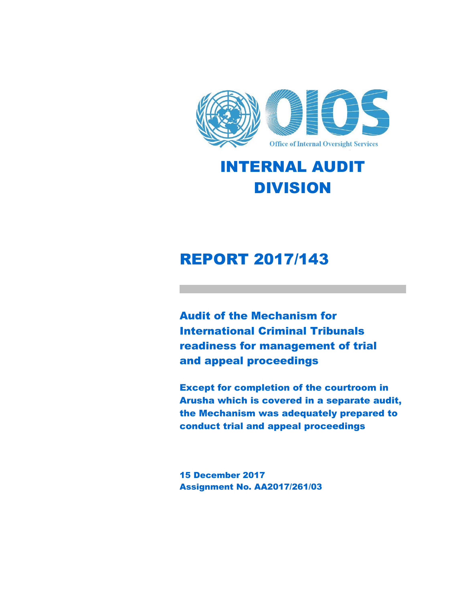

# INTERNAL AUDIT DIVISION

# REPORT 2017/143

Audit of the Mechanism for International Criminal Tribunals readiness for management of trial and appeal proceedings

Except for completion of the courtroom in Arusha which is covered in a separate audit, the Mechanism was adequately prepared to conduct trial and appeal proceedings

15 December 2017 Assignment No. AA2017/261/03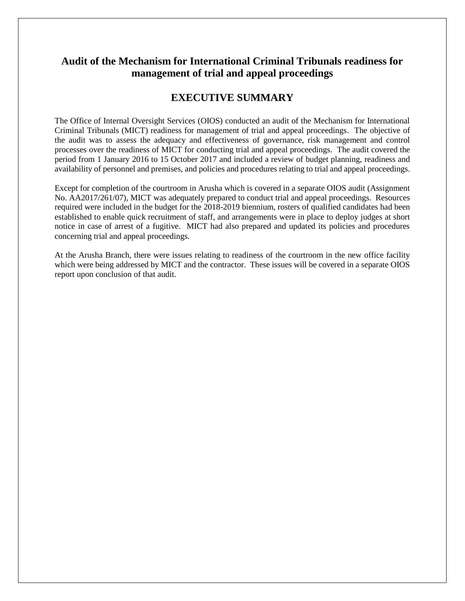### **Audit of the Mechanism for International Criminal Tribunals readiness for management of trial and appeal proceedings**

#### **EXECUTIVE SUMMARY**

The Office of Internal Oversight Services (OIOS) conducted an audit of the Mechanism for International Criminal Tribunals (MICT) readiness for management of trial and appeal proceedings. The objective of the audit was to assess the adequacy and effectiveness of governance, risk management and control processes over the readiness of MICT for conducting trial and appeal proceedings. The audit covered the period from 1 January 2016 to 15 October 2017 and included a review of budget planning, readiness and availability of personnel and premises, and policies and procedures relating to trial and appeal proceedings.

Except for completion of the courtroom in Arusha which is covered in a separate OIOS audit (Assignment No. AA2017/261/07), MICT was adequately prepared to conduct trial and appeal proceedings. Resources required were included in the budget for the 2018-2019 biennium, rosters of qualified candidates had been established to enable quick recruitment of staff, and arrangements were in place to deploy judges at short notice in case of arrest of a fugitive. MICT had also prepared and updated its policies and procedures concerning trial and appeal proceedings.

At the Arusha Branch, there were issues relating to readiness of the courtroom in the new office facility which were being addressed by MICT and the contractor. These issues will be covered in a separate OIOS report upon conclusion of that audit.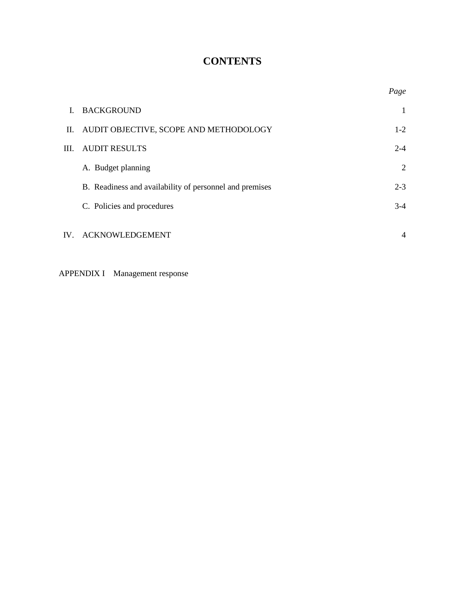# **CONTENTS**

|     |                                                         | Page           |
|-----|---------------------------------------------------------|----------------|
| L.  | <b>BACKGROUND</b>                                       | -1             |
| П.  | AUDIT OBJECTIVE, SCOPE AND METHODOLOGY                  | $1-2$          |
| Ш.  | <b>AUDIT RESULTS</b>                                    | $2 - 4$        |
|     | A. Budget planning                                      | 2              |
|     | B. Readiness and availability of personnel and premises | $2 - 3$        |
|     | C. Policies and procedures                              | $3-4$          |
| IV. | <b>ACKNOWLEDGEMENT</b>                                  | $\overline{4}$ |

APPENDIX I Management response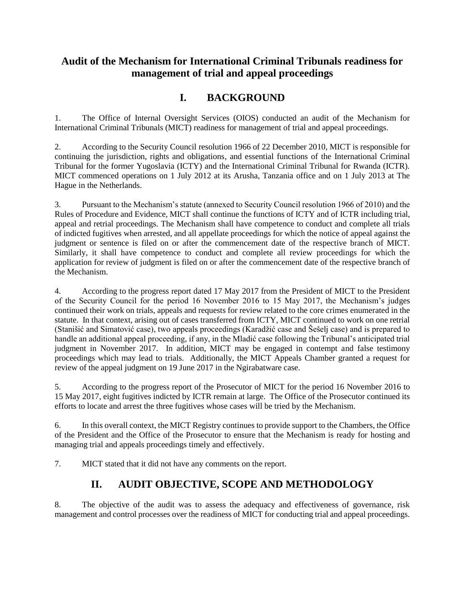## **Audit of the Mechanism for International Criminal Tribunals readiness for management of trial and appeal proceedings**

# **I. BACKGROUND**

1. The Office of Internal Oversight Services (OIOS) conducted an audit of the Mechanism for International Criminal Tribunals (MICT) readiness for management of trial and appeal proceedings.

2. According to the Security Council resolution 1966 of 22 December 2010, MICT is responsible for continuing the jurisdiction, rights and obligations, and essential functions of the International Criminal Tribunal for the former Yugoslavia (ICTY) and the International Criminal Tribunal for Rwanda (ICTR). MICT commenced operations on 1 July 2012 at its Arusha, Tanzania office and on 1 July 2013 at The Hague in the Netherlands.

3. Pursuant to the Mechanism's statute (annexed to Security Council resolution 1966 of 2010) and the Rules of Procedure and Evidence, MICT shall continue the functions of ICTY and of ICTR including trial, appeal and retrial proceedings. The Mechanism shall have competence to conduct and complete all trials of indicted fugitives when arrested, and all appellate proceedings for which the notice of appeal against the judgment or sentence is filed on or after the commencement date of the respective branch of MICT. Similarly, it shall have competence to conduct and complete all review proceedings for which the application for review of judgment is filed on or after the commencement date of the respective branch of the Mechanism.

4. According to the progress report dated 17 May 2017 from the President of MICT to the President of the Security Council for the period 16 November 2016 to 15 May 2017, the Mechanism's judges continued their work on trials, appeals and requests for review related to the core crimes enumerated in the statute. In that context, arising out of cases transferred from ICTY, MICT continued to work on one retrial (Stanišić and Simatović case), two appeals proceedings (Karadžić case and Šešelj case) and is prepared to handle an additional appeal proceeding, if any, in the Mladić case following the Tribunal's anticipated trial judgment in November 2017. In addition, MICT may be engaged in contempt and false testimony proceedings which may lead to trials. Additionally, the MICT Appeals Chamber granted a request for review of the appeal judgment on 19 June 2017 in the Ngirabatware case.

5. According to the progress report of the Prosecutor of MICT for the period 16 November 2016 to 15 May 2017, eight fugitives indicted by ICTR remain at large. The Office of the Prosecutor continued its efforts to locate and arrest the three fugitives whose cases will be tried by the Mechanism.

6. In this overall context, the MICT Registry continues to provide support to the Chambers, the Office of the President and the Office of the Prosecutor to ensure that the Mechanism is ready for hosting and managing trial and appeals proceedings timely and effectively.

7. MICT stated that it did not have any comments on the report.

## **II. AUDIT OBJECTIVE, SCOPE AND METHODOLOGY**

8. The objective of the audit was to assess the adequacy and effectiveness of governance, risk management and control processes over the readiness of MICT for conducting trial and appeal proceedings.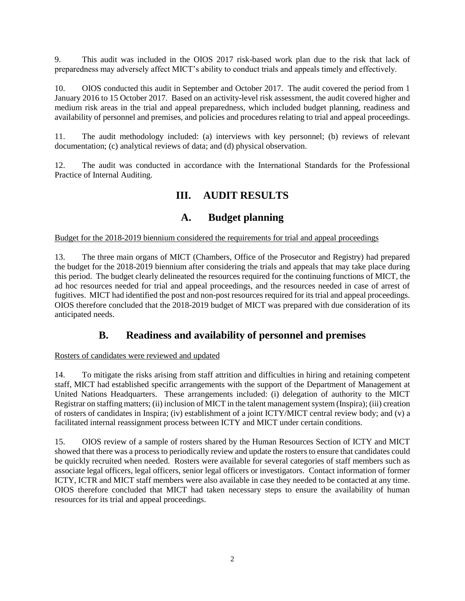9. This audit was included in the OIOS 2017 risk-based work plan due to the risk that lack of preparedness may adversely affect MICT's ability to conduct trials and appeals timely and effectively.

10. OIOS conducted this audit in September and October 2017. The audit covered the period from 1 January 2016 to 15 October 2017. Based on an activity-level risk assessment, the audit covered higher and medium risk areas in the trial and appeal preparedness, which included budget planning, readiness and availability of personnel and premises, and policies and procedures relating to trial and appeal proceedings.

11. The audit methodology included: (a) interviews with key personnel; (b) reviews of relevant documentation; (c) analytical reviews of data; and (d) physical observation.

12. The audit was conducted in accordance with the International Standards for the Professional Practice of Internal Auditing.

## **III. AUDIT RESULTS**

#### **A. Budget planning**

Budget for the 2018-2019 biennium considered the requirements for trial and appeal proceedings

13. The three main organs of MICT (Chambers, Office of the Prosecutor and Registry) had prepared the budget for the 2018-2019 biennium after considering the trials and appeals that may take place during this period. The budget clearly delineated the resources required for the continuing functions of MICT, the ad hoc resources needed for trial and appeal proceedings, and the resources needed in case of arrest of fugitives. MICT had identified the post and non-post resources required for its trial and appeal proceedings. OIOS therefore concluded that the 2018-2019 budget of MICT was prepared with due consideration of its anticipated needs.

### **B. Readiness and availability of personnel and premises**

#### Rosters of candidates were reviewed and updated

14. To mitigate the risks arising from staff attrition and difficulties in hiring and retaining competent staff, MICT had established specific arrangements with the support of the Department of Management at United Nations Headquarters. These arrangements included: (i) delegation of authority to the MICT Registrar on staffing matters; (ii) inclusion of MICT in the talent management system (Inspira); (iii) creation of rosters of candidates in Inspira; (iv) establishment of a joint ICTY/MICT central review body; and (v) a facilitated internal reassignment process between ICTY and MICT under certain conditions.

15. OIOS review of a sample of rosters shared by the Human Resources Section of ICTY and MICT showed that there was a process to periodically review and update the rosters to ensure that candidates could be quickly recruited when needed. Rosters were available for several categories of staff members such as associate legal officers, legal officers, senior legal officers or investigators. Contact information of former ICTY, ICTR and MICT staff members were also available in case they needed to be contacted at any time. OIOS therefore concluded that MICT had taken necessary steps to ensure the availability of human resources for its trial and appeal proceedings.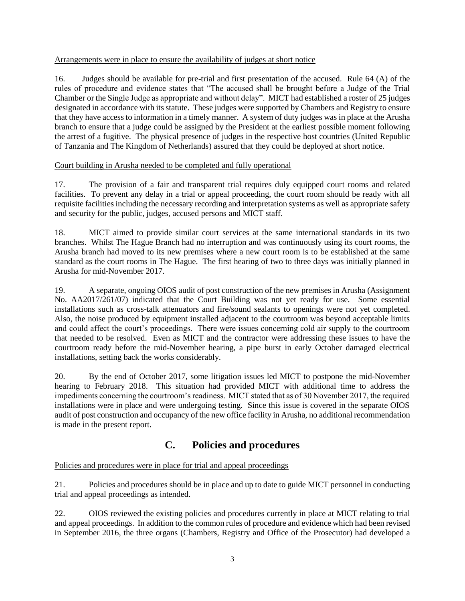#### Arrangements were in place to ensure the availability of judges at short notice

16. Judges should be available for pre-trial and first presentation of the accused. Rule 64 (A) of the rules of procedure and evidence states that "The accused shall be brought before a Judge of the Trial Chamber or the Single Judge as appropriate and without delay". MICT had established a roster of 25 judges designated in accordance with its statute. These judges were supported by Chambers and Registry to ensure that they have access to information in a timely manner. A system of duty judges was in place at the Arusha branch to ensure that a judge could be assigned by the President at the earliest possible moment following the arrest of a fugitive. The physical presence of judges in the respective host countries (United Republic of Tanzania and The Kingdom of Netherlands) assured that they could be deployed at short notice.

#### Court building in Arusha needed to be completed and fully operational

17. The provision of a fair and transparent trial requires duly equipped court rooms and related facilities. To prevent any delay in a trial or appeal proceeding, the court room should be ready with all requisite facilities including the necessary recording and interpretation systems as well as appropriate safety and security for the public, judges, accused persons and MICT staff.

18. MICT aimed to provide similar court services at the same international standards in its two branches. Whilst The Hague Branch had no interruption and was continuously using its court rooms, the Arusha branch had moved to its new premises where a new court room is to be established at the same standard as the court rooms in The Hague. The first hearing of two to three days was initially planned in Arusha for mid-November 2017.

19. A separate, ongoing OIOS audit of post construction of the new premises in Arusha (Assignment No. AA2017/261/07) indicated that the Court Building was not yet ready for use. Some essential installations such as cross-talk attenuators and fire/sound sealants to openings were not yet completed. Also, the noise produced by equipment installed adjacent to the courtroom was beyond acceptable limits and could affect the court's proceedings. There were issues concerning cold air supply to the courtroom that needed to be resolved. Even as MICT and the contractor were addressing these issues to have the courtroom ready before the mid-November hearing, a pipe burst in early October damaged electrical installations, setting back the works considerably.

20. By the end of October 2017, some litigation issues led MICT to postpone the mid-November hearing to February 2018. This situation had provided MICT with additional time to address the impediments concerning the courtroom's readiness. MICT stated that as of 30 November 2017, the required installations were in place and were undergoing testing. Since this issue is covered in the separate OIOS audit of post construction and occupancy of the new office facility in Arusha, no additional recommendation is made in the present report.

### **C. Policies and procedures**

#### Policies and procedures were in place for trial and appeal proceedings

21. Policies and procedures should be in place and up to date to guide MICT personnel in conducting trial and appeal proceedings as intended.

22. OIOS reviewed the existing policies and procedures currently in place at MICT relating to trial and appeal proceedings. In addition to the common rules of procedure and evidence which had been revised in September 2016, the three organs (Chambers, Registry and Office of the Prosecutor) had developed a